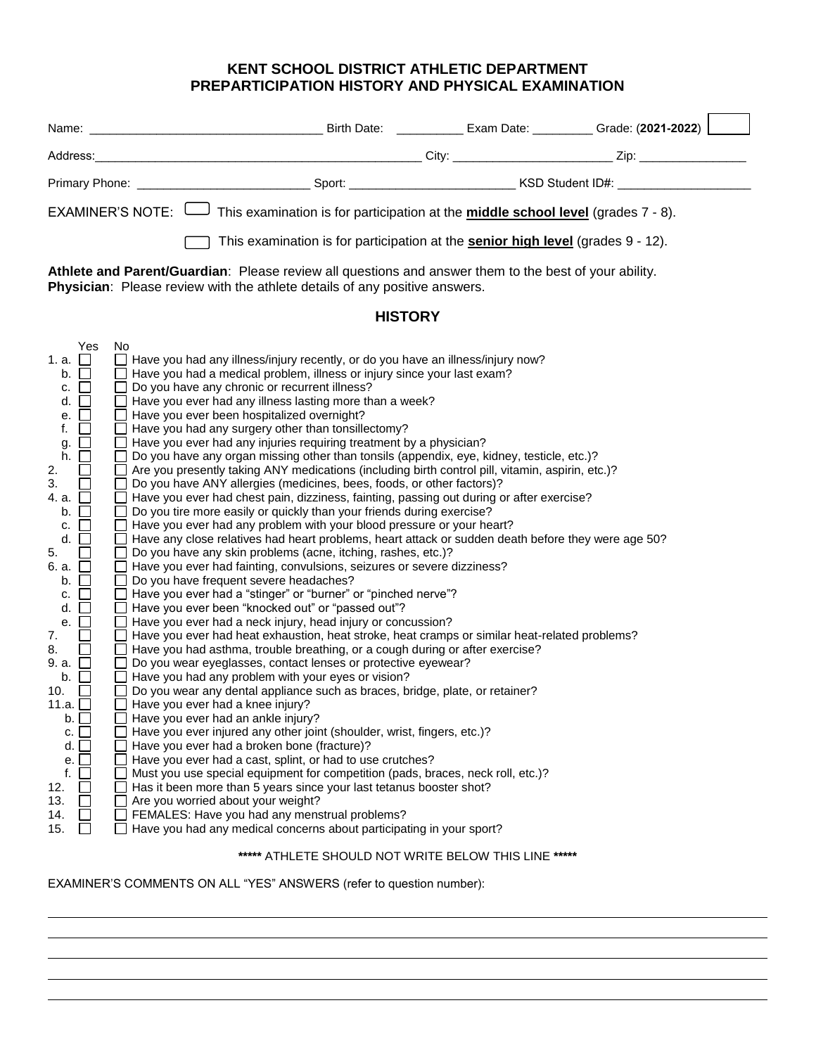## **KENT SCHOOL DISTRICT ATHLETIC DEPARTMENT PREPARTICIPATION HISTORY AND PHYSICAL EXAMINATION**

| <b>EXAMINER'S NOTE:</b><br>This examination is for participation at the <b>middle school level</b> (grades 7 - 8).                                                                                                                                                                                                                                                                                                                                                                                                |                                                                                                                                                                                                                                                                                                                                                                                                                                                                                                                                                                                                                                                                                                                                                                                                                                                                                                                                                                                                                                                                                                                                                                                                                                                                                                                                                                                                                                                                                                                                                                                                                                                                                                                                                                                                                                                                                                                                                                                                                                                                                                                                                                                                                                                                                                                                                                                                                                                                                                                                    |                                                      |  |  |  |  |  |  |
|-------------------------------------------------------------------------------------------------------------------------------------------------------------------------------------------------------------------------------------------------------------------------------------------------------------------------------------------------------------------------------------------------------------------------------------------------------------------------------------------------------------------|------------------------------------------------------------------------------------------------------------------------------------------------------------------------------------------------------------------------------------------------------------------------------------------------------------------------------------------------------------------------------------------------------------------------------------------------------------------------------------------------------------------------------------------------------------------------------------------------------------------------------------------------------------------------------------------------------------------------------------------------------------------------------------------------------------------------------------------------------------------------------------------------------------------------------------------------------------------------------------------------------------------------------------------------------------------------------------------------------------------------------------------------------------------------------------------------------------------------------------------------------------------------------------------------------------------------------------------------------------------------------------------------------------------------------------------------------------------------------------------------------------------------------------------------------------------------------------------------------------------------------------------------------------------------------------------------------------------------------------------------------------------------------------------------------------------------------------------------------------------------------------------------------------------------------------------------------------------------------------------------------------------------------------------------------------------------------------------------------------------------------------------------------------------------------------------------------------------------------------------------------------------------------------------------------------------------------------------------------------------------------------------------------------------------------------------------------------------------------------------------------------------------------------|------------------------------------------------------|--|--|--|--|--|--|
| This examination is for participation at the <b>senior high level</b> (grades 9 - 12).                                                                                                                                                                                                                                                                                                                                                                                                                            |                                                                                                                                                                                                                                                                                                                                                                                                                                                                                                                                                                                                                                                                                                                                                                                                                                                                                                                                                                                                                                                                                                                                                                                                                                                                                                                                                                                                                                                                                                                                                                                                                                                                                                                                                                                                                                                                                                                                                                                                                                                                                                                                                                                                                                                                                                                                                                                                                                                                                                                                    |                                                      |  |  |  |  |  |  |
| Athlete and Parent/Guardian: Please review all questions and answer them to the best of your ability.<br>Physician: Please review with the athlete details of any positive answers.                                                                                                                                                                                                                                                                                                                               |                                                                                                                                                                                                                                                                                                                                                                                                                                                                                                                                                                                                                                                                                                                                                                                                                                                                                                                                                                                                                                                                                                                                                                                                                                                                                                                                                                                                                                                                                                                                                                                                                                                                                                                                                                                                                                                                                                                                                                                                                                                                                                                                                                                                                                                                                                                                                                                                                                                                                                                                    |                                                      |  |  |  |  |  |  |
| <b>HISTORY</b>                                                                                                                                                                                                                                                                                                                                                                                                                                                                                                    |                                                                                                                                                                                                                                                                                                                                                                                                                                                                                                                                                                                                                                                                                                                                                                                                                                                                                                                                                                                                                                                                                                                                                                                                                                                                                                                                                                                                                                                                                                                                                                                                                                                                                                                                                                                                                                                                                                                                                                                                                                                                                                                                                                                                                                                                                                                                                                                                                                                                                                                                    |                                                      |  |  |  |  |  |  |
| Yes<br>1. a. $\Box$<br>b. $\square$<br>c. $\square$<br>d. $\Box$<br>$\Box$<br>е.<br>f.<br>$\Box$<br>$\Box$<br>g.<br>h.<br>$\Box$<br>2.<br>3.<br>4. a. □<br>$\Box$<br>b.<br>$\Box$<br>C.<br>d.<br>$\mathcal{L}_{\mathcal{A}}$<br>5.<br>6. a.<br>$\mathbb{R}^n$<br>b. $\square$<br>$\Box$<br>c.<br>$\Box$<br>d.<br>П<br>е.<br>7.<br>8.<br>$\sim$<br>9. a. $\Box$<br>$\mathsf{b}$ . $\Box$<br>10.<br>$\Box$<br>11.a. ∐<br>$b.\Box$<br>c.<br>d.<br>$\Box$<br>е.<br>f.<br>$\Box$<br>12.<br>13.<br>14.<br>15.<br>$\Box$ | No<br>Have you had any illness/injury recently, or do you have an illness/injury now?<br>Have you had a medical problem, illness or injury since your last exam?<br>$\Box$ Do you have any chronic or recurrent illness?<br>$\Box$ Have you ever had any illness lasting more than a week?<br>Have you ever been hospitalized overnight?<br>$\Box$ Have you had any surgery other than tonsillectomy?<br>$\Box$ Have you ever had any injuries requiring treatment by a physician?<br>$\Box$ Do you have any organ missing other than tonsils (appendix, eye, kidney, testicle, etc.)?<br>Are you presently taking ANY medications (including birth control pill, vitamin, aspirin, etc.)?<br>Do you have ANY allergies (medicines, bees, foods, or other factors)?<br>$\Box$ Have you ever had chest pain, dizziness, fainting, passing out during or after exercise?<br>$\Box$ Do you tire more easily or quickly than your friends during exercise?<br>$\Box$ Have you ever had any problem with your blood pressure or your heart?<br>Have any close relatives had heart problems, heart attack or sudden death before they were age 50?<br>Do you have any skin problems (acne, itching, rashes, etc.)?<br>□ Have you ever had fainting, convulsions, seizures or severe dizziness?<br>$\Box$ Do you have frequent severe headaches?<br>□ Have you ever had a "stinger" or "burner" or "pinched nerve"?<br>□ Have you ever been "knocked out" or "passed out"?<br>Have you ever had a neck injury, head injury or concussion?<br>Have you ever had heat exhaustion, heat stroke, heat cramps or similar heat-related problems?<br>Have you had asthma, trouble breathing, or a cough during or after exercise?<br>$\Box$ Do you wear eyeglasses, contact lenses or protective eyewear?<br>$\Box$ Have you had any problem with your eyes or vision?<br>Do you wear any dental appliance such as braces, bridge, plate, or retainer?<br>Have you ever had a knee injury?<br>Have you ever had an ankle injury?<br>Have you ever injured any other joint (shoulder, wrist, fingers, etc.)?<br>Have you ever had a broken bone (fracture)?<br>Have you ever had a cast, splint, or had to use crutches?<br>Must you use special equipment for competition (pads, braces, neck roll, etc.)?<br>Has it been more than 5 years since your last tetanus booster shot?<br>Are you worried about your weight?<br>FEMALES: Have you had any menstrual problems?<br>Have you had any medical concerns about participating in your sport? |                                                      |  |  |  |  |  |  |
|                                                                                                                                                                                                                                                                                                                                                                                                                                                                                                                   |                                                                                                                                                                                                                                                                                                                                                                                                                                                                                                                                                                                                                                                                                                                                                                                                                                                                                                                                                                                                                                                                                                                                                                                                                                                                                                                                                                                                                                                                                                                                                                                                                                                                                                                                                                                                                                                                                                                                                                                                                                                                                                                                                                                                                                                                                                                                                                                                                                                                                                                                    | ***** ATHLETE SHOULD NOT WRITE BELOW THIS LINE ***** |  |  |  |  |  |  |

EXAMINER'S COMMENTS ON ALL "YES" ANSWERS (refer to question number):